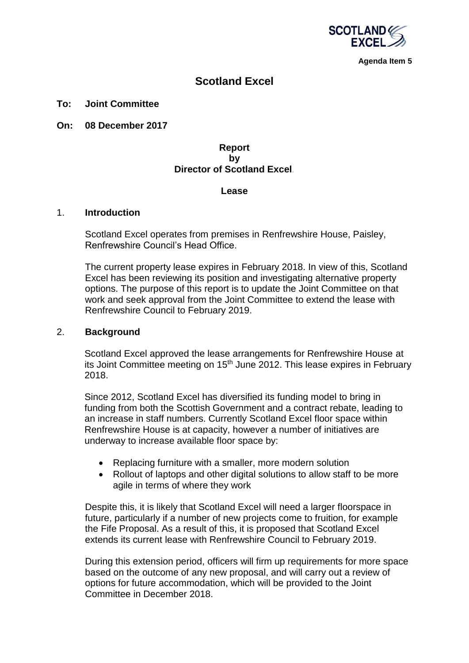

**Agenda Item 5**

# **Scotland Excel**

### **To: Joint Committee**

**On: 08 December 2017**

## **Report by Director of Scotland Excel***.*

#### **Lease**

#### 1. **Introduction**

Scotland Excel operates from premises in Renfrewshire House, Paisley, Renfrewshire Council's Head Office.

The current property lease expires in February 2018. In view of this, Scotland Excel has been reviewing its position and investigating alternative property options. The purpose of this report is to update the Joint Committee on that work and seek approval from the Joint Committee to extend the lease with Renfrewshire Council to February 2019.

### 2. **Background**

Scotland Excel approved the lease arrangements for Renfrewshire House at its Joint Committee meeting on 15th June 2012. This lease expires in February 2018.

Since 2012, Scotland Excel has diversified its funding model to bring in funding from both the Scottish Government and a contract rebate, leading to an increase in staff numbers. Currently Scotland Excel floor space within Renfrewshire House is at capacity, however a number of initiatives are underway to increase available floor space by:

- Replacing furniture with a smaller, more modern solution
- Rollout of laptops and other digital solutions to allow staff to be more agile in terms of where they work

Despite this, it is likely that Scotland Excel will need a larger floorspace in future, particularly if a number of new projects come to fruition, for example the Fife Proposal. As a result of this, it is proposed that Scotland Excel extends its current lease with Renfrewshire Council to February 2019.

During this extension period, officers will firm up requirements for more space based on the outcome of any new proposal, and will carry out a review of options for future accommodation, which will be provided to the Joint Committee in December 2018.